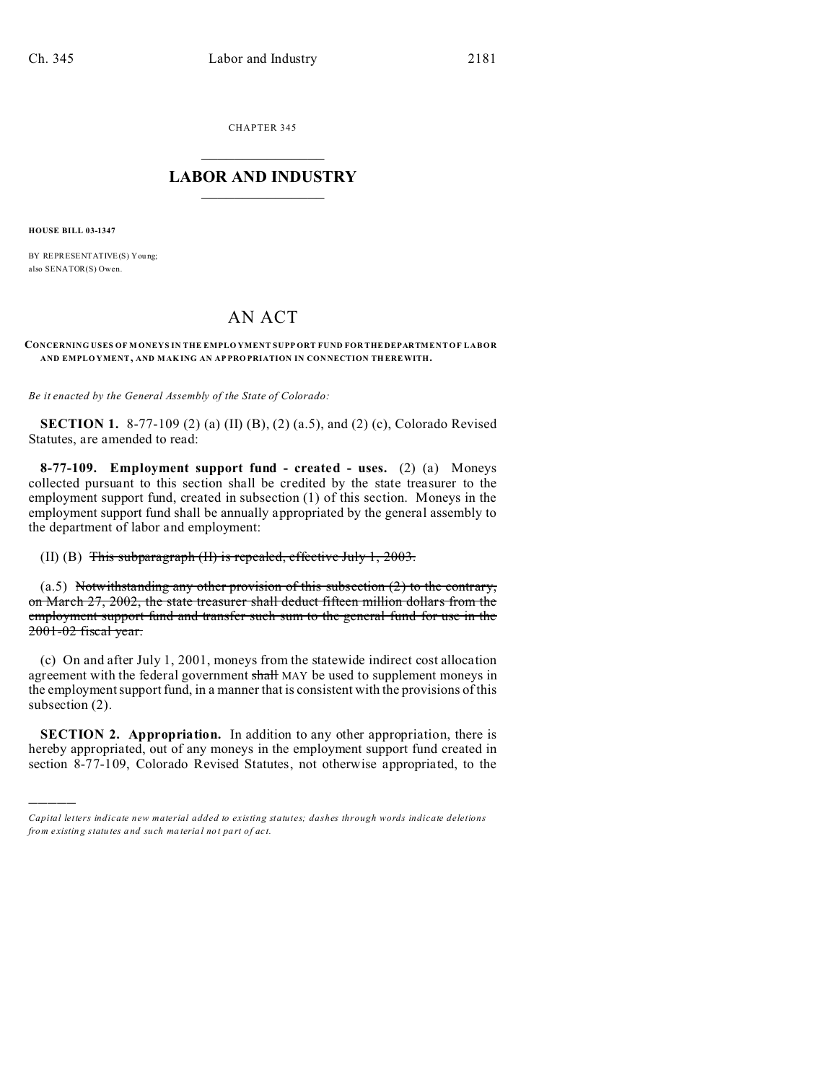CHAPTER 345  $\overline{\phantom{a}}$  , where  $\overline{\phantom{a}}$ 

## **LABOR AND INDUSTRY**  $\frac{1}{\sqrt{2}}$  ,  $\frac{1}{\sqrt{2}}$  ,  $\frac{1}{\sqrt{2}}$  ,  $\frac{1}{\sqrt{2}}$  ,  $\frac{1}{\sqrt{2}}$  ,  $\frac{1}{\sqrt{2}}$

**HOUSE BILL 03-1347**

)))))

BY REPRESENTATIVE(S) You ng; also SENATOR(S) Owen.

## AN ACT

## **CONCERNING USES OF M ONEYS IN THE EMPLO YMENT SUPP ORT FUND FOR THE DEPARTMENT OF LABOR AND EMPLO YMENT, AND MAK ING AN AP PRO PRIATION IN CON NECTION TH EREWITH.**

*Be it enacted by the General Assembly of the State of Colorado:*

**SECTION 1.** 8-77-109 (2) (a) (II) (B), (2) (a.5), and (2) (c), Colorado Revised Statutes, are amended to read:

**8-77-109. Employment support fund - created - uses.** (2) (a) Moneys collected pursuant to this section shall be credited by the state treasurer to the employment support fund, created in subsection (1) of this section. Moneys in the employment support fund shall be annually appropriated by the general assembly to the department of labor and employment:

(II) (B) This subparagraph (II) is repealed, effective July 1, 2003.

(a.5) Notwithstanding any other provision of this subsection  $(2)$  to the contrary, on March 27, 2002, the state treasurer shall deduct fifteen million dollars from the employment support fund and transfer such sum to the general fund for use in the 2001-02 fiscal year.

(c) On and after July 1, 2001, moneys from the statewide indirect cost allocation agreement with the federal government shall MAY be used to supplement moneys in the employment support fund, in a manner that is consistent with the provisions of this subsection (2).

**SECTION 2. Appropriation.** In addition to any other appropriation, there is hereby appropriated, out of any moneys in the employment support fund created in section 8-77-109, Colorado Revised Statutes, not otherwise appropriated, to the

*Capital letters indicate new material added to existing statutes; dashes through words indicate deletions from e xistin g statu tes a nd such ma teria l no t pa rt of ac t.*